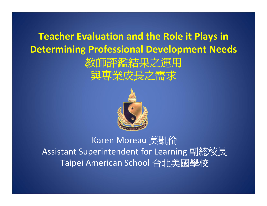#### **Teacher Evaluation and the Role it Plays in Determining Professional Development Needs** 教師評鑑結果之運用 與專業成長之需求



#### Karen Moreau 莫凱倫 Assistant Superintendent for Learning 副總校長 Taipei American School 台北美國學校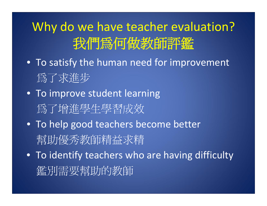# Why do we have teacher evaluation? 我們為何做教師評鑑

- To satisfy the human need for improvement 為了求進步
- To improve student learning 為了增進學生學習成效
- To help good teachers become better 幫助優秀教師精益求精
- To identify teachers who are having difficulty 鑑別需要幫助的教師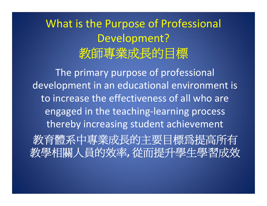### What is the Purpose of Professional Development? 教師專業成長的目標

The primary purpose of professional development in an educational environment is to increase the effectiveness of all who are engaged in the teaching‐learning process thereby increasing student achievement 教育體系中專業成長的主要目標為提高所有 教學相關人員的效率**,** 從而提升學生學習成效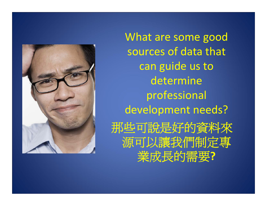

What are some good sources of data that can guide us to determine professional development needs? 那些可說是好的資料來 源可以讓我們制定專 業成長的需要**?**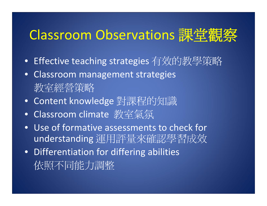### Classroom Observations 課堂觀察

- Effective teaching strategies 有效的教學策略
- Classroom management strategies 教室經營策略
- Content knowledge 對課程的知識
- Classroom climate 教室氣氛
- Use of formative assessments to check for understanding 運用評量來確認學習成效
- Differentiation for differing abilities 依照不同能力調整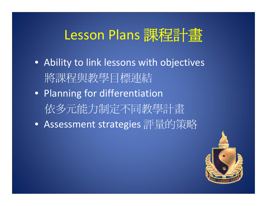# Lesson Plans 課程計畫

- Ability to link lessons with objectives 將課程與教學目標連結
- Planning for differentiation 依多元能力制定不同教學計畫
- Assessment strategies 評量的策略

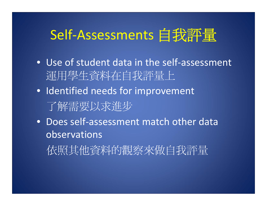# Self-Assessments 自我評量

- Use of student data in the self‐assessment 運用學生資料在自我評量上
- Identified needs for improvement 了解需要以求進步
- Does self-assessment match other data observations

依照其他資料的觀察來做自我評量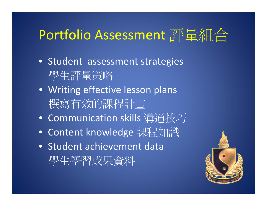# Portfolio Assessment 評量組合

- Student assessment strategies 學生評量策略
- Writing effective lesson plans 撰寫有效的課程計畫
- Communication skills 溝通技巧
- Content knowledge 課程知識
- Student achievement data 學生學習成果資料

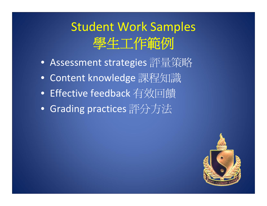## Student Work Samples 學生工作範例

- Assessment strategies 評量策略
- Content knowledge 課程知識
- Effective feedback 有效回饋
- Grading practices 評分方法

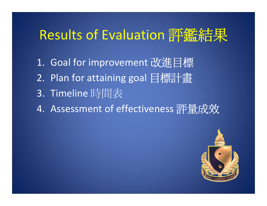# Results of Evaluation 評鑑結果

- 1. Goal for improvement 改進目標
- 2. Plan for attaining goal 目標計畫
- 3. Timeline 時間表
- 4. Assessment of effectiveness 評量成效

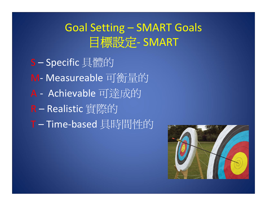#### Goal Setting – SMART Goals 目標設定‐ SMART

S – Specific 具體的 M‐ Measureable 可衡量的 A ‐ Achievable 可達成的 R – Realistic 實際的 T – Time‐based 具時間性的

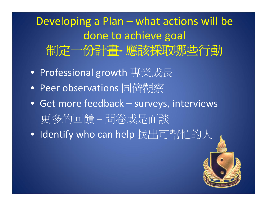Developing <sup>a</sup> Plan – what actions will be done to achieve goal 制定一份計畫**‐** 應該採取哪些行動

- Professional growth 專業成長
- Peer observations 同儕觀察
- Get more feedback surveys, interviews 更多的回饋 – 問卷或是面談
- Identify who can help 找出可幫忙的人

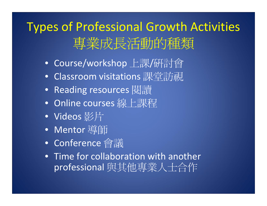# Types of Professional Growth Activities 專業成長活動的種類

- Course/workshop 上課/研討會
- Classroom visitations 課堂訪視
- Reading resources 閱讀
- Online courses 線上課程
- Videos 影片
- Mentor 導師
- Conference 會議
- Time for collaboration with another professional 與其他專業人士合作